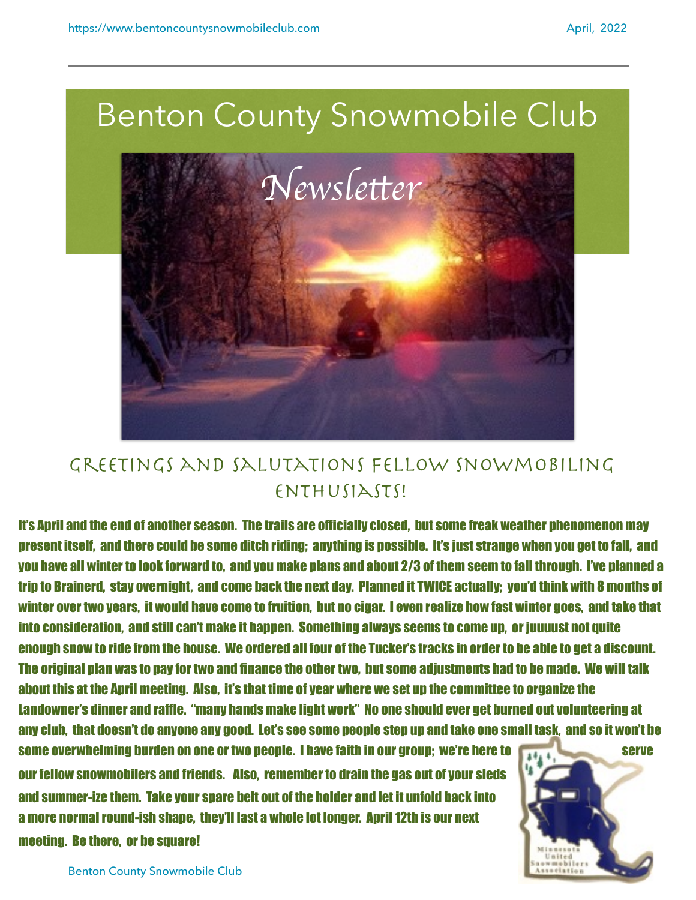

## Greetings and salutations fellow snowmobiling ENTHUSIASTS!

It's April and the end of another season. The trails are officially closed, but some freak weather phenomenon may present itself, and there could be some ditch riding; anything is possible. It's just strange when you get to fall, and you have all winter to look forward to, and you make plans and about 2/3 of them seem to fall through. I've planned a trip to Brainerd, stay overnight, and come back the next day. Planned it TWICE actually; you'd think with 8 months of winter over two years, it would have come to fruition, but no cigar. I even realize how fast winter goes, and take that into consideration, and still can't make it happen. Something always seems to come up, or juuuust not quite enough snow to ride from the house. We ordered all four of the Tucker's tracks in order to be able to get a discount. The original plan was to pay for two and finance the other two, but some adjustments had to be made. We will talk about this at the April meeting. Also, it's that time of year where we set up the committee to organize the Landowner's dinner and raffle. "many hands make light work" No one should ever get burned out volunteering at any club, that doesn't do anyone any good. Let's see some people step up and take one small task, and so it won't be

some overwhelming burden on one or two people. I have faith in our group; we're here to serve serve our fellow snowmobilers and friends. Also, remember to drain the gas out of your sleds and summer-ize them. Take your spare belt out of the holder and let it unfold back into a more normal round-ish shape, they'll last a whole lot longer. April 12th is our next

meeting. Be there, or be square!